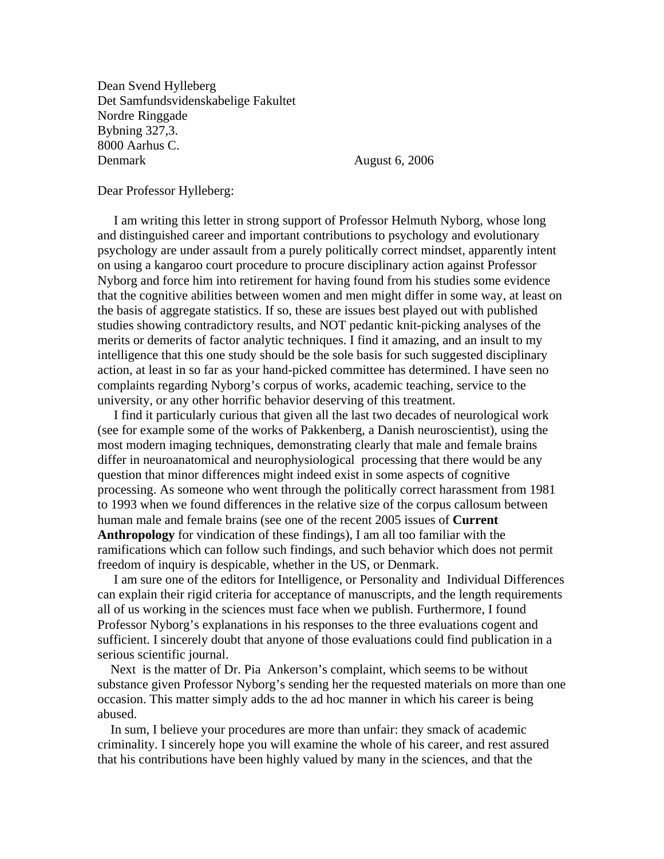Dean Svend Hylleberg Det Samfundsvidenskabelige Fakultet Nordre Ringgade Bybning 327,3. 8000 Aarhus C. Denmark August 6, 2006

## Dear Professor Hylleberg:

 I am writing this letter in strong support of Professor Helmuth Nyborg, whose long and distinguished career and important contributions to psychology and evolutionary psychology are under assault from a purely politically correct mindset, apparently intent on using a kangaroo court procedure to procure disciplinary action against Professor Nyborg and force him into retirement for having found from his studies some evidence that the cognitive abilities between women and men might differ in some way, at least on the basis of aggregate statistics. If so, these are issues best played out with published studies showing contradictory results, and NOT pedantic knit-picking analyses of the merits or demerits of factor analytic techniques. I find it amazing, and an insult to my intelligence that this one study should be the sole basis for such suggested disciplinary action, at least in so far as your hand-picked committee has determined. I have seen no complaints regarding Nyborg's corpus of works, academic teaching, service to the university, or any other horrific behavior deserving of this treatment.

 I find it particularly curious that given all the last two decades of neurological work (see for example some of the works of Pakkenberg, a Danish neuroscientist), using the most modern imaging techniques, demonstrating clearly that male and female brains differ in neuroanatomical and neurophysiological processing that there would be any question that minor differences might indeed exist in some aspects of cognitive processing. As someone who went through the politically correct harassment from 1981 to 1993 when we found differences in the relative size of the corpus callosum between human male and female brains (see one of the recent 2005 issues of **Current Anthropology** for vindication of these findings), I am all too familiar with the ramifications which can follow such findings, and such behavior which does not permit freedom of inquiry is despicable, whether in the US, or Denmark.

 I am sure one of the editors for Intelligence, or Personality and Individual Differences can explain their rigid criteria for acceptance of manuscripts, and the length requirements all of us working in the sciences must face when we publish. Furthermore, I found Professor Nyborg's explanations in his responses to the three evaluations cogent and sufficient. I sincerely doubt that anyone of those evaluations could find publication in a serious scientific journal.

 Next is the matter of Dr. Pia Ankerson's complaint, which seems to be without substance given Professor Nyborg's sending her the requested materials on more than one occasion. This matter simply adds to the ad hoc manner in which his career is being abused.

 In sum, I believe your procedures are more than unfair: they smack of academic criminality. I sincerely hope you will examine the whole of his career, and rest assured that his contributions have been highly valued by many in the sciences, and that the